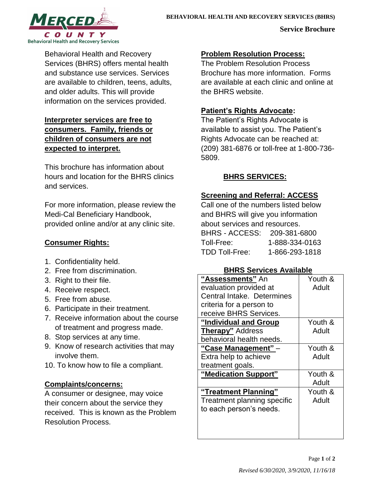

**Service Brochure**

Behavioral Health and Recovery Services (BHRS) offers mental health and substance use services. Services are available to children, teens, adults, and older adults. This will provide information on the services provided.

## **Interpreter services are free to consumers. Family, friends or children of consumers are not expected to interpret.**

This brochure has information about hours and location for the BHRS clinics and services.

For more information, please review the Medi-Cal Beneficiary Handbook, provided online and/or at any clinic site.

# **Consumer Rights:**

- 1. Confidentiality held.
- 2. Free from discrimination.
- 3. Right to their file.
- 4. Receive respect.
- 5. Free from abuse.
- 6. Participate in their treatment.
- 7. Receive information about the course of treatment and progress made.
- 8. Stop services at any time.
- 9. Know of research activities that may involve them.
- 10. To know how to file a compliant.

# **Complaints/concerns:**

A consumer or designee, may voice their concern about the service they received. This is known as the Problem Resolution Process.

# **Problem Resolution Process:**

The Problem Resolution Process Brochure has more information. Forms are available at each clinic and online at the BHRS website.

## **Patient's Rights Advocate:**

The Patient's Rights Advocate is available to assist you. The Patient's Rights Advocate can be reached at: (209) 381-6876 or toll-free at 1-800-736- 5809.

## **BHRS SERVICES:**

## **Screening and Referral: ACCESS**

Call one of the numbers listed below and BHRS will give you information about services and resources. BHRS - ACCESS: 209-381-6800 Toll-Free: 1-888-334-0163 TDD Toll-Free: 1-866-293-1818

### **BHRS Services Available**

| "Assessments" An            | Youth & |
|-----------------------------|---------|
| evaluation provided at      | Adult   |
| Central Intake, Determines  |         |
| criteria for a person to    |         |
| receive BHRS Services.      |         |
| "Individual and Group       | Youth & |
| <b>Therapy"</b> Address     | Adult   |
| behavioral health needs.    |         |
| "Case Management" -         | Youth & |
| Extra help to achieve       | Adult   |
| treatment goals.            |         |
| "Medication Support"        | Youth & |
|                             | Adult   |
| "Treatment Planning"        | Youth & |
| Treatment planning specific | Adult   |
| to each person's needs.     |         |
|                             |         |
|                             |         |
|                             |         |